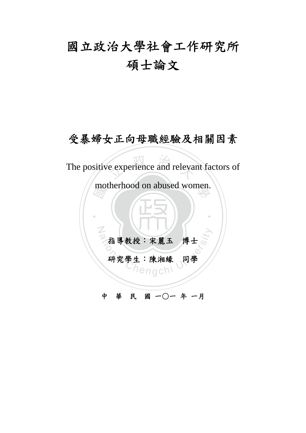# 國立政治大學社會工作研究所 碩士論文

### 受暴婦女正向母職經驗及相關因素

e experience and releva The positive experience and relevant factors of

motherhood on abused women.

‧

出導教授:宋麗玉 博士<br>研究學生:陳湘緣 同學 指導教授:宋麗玉 博士

N

研究學生:陳湘緣 同學

中 華 民 國 一○一 年 一月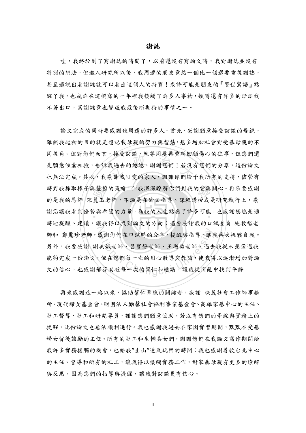#### 謝誌

哇,我終於到了寫謝誌的時間了,以前還沒有寫論文時,我對謝誌並沒有 特別的想法。但進入研究所以後,我周遭的朋友竟然一個比一個還要重視謝誌, 甚至還說出看謝誌就可以看出這個人的特質!或許可能是朋友的『警世驚語』點 醒了我,也或許在這撰寫的一年裡我接觸了許多人事物,頓時還有許多的話語找 不著出口,寫謝誌竟也變成我最後所期待的事情之一。

時對我採取棒子與蘿蔔的策略,但我深深瞭解你們對我的愛與關心。再來要感謝的是我的恩師 宋麗玉老師,不論是在論文指導、課程講授或是研究執行上,感謝您總是適 ,按文动歌,机于问安丹里利曰相<br>我過去的總總。謝謝您們!若沒?<br>感謝我可愛的家人,謝謝你們給 謝您讓我看到優勢與希望的力量,為我的人生點燃了許多可能,也感謝您總是適  $Z$ 或謝您們在口試時的分享、提醒與指導,讓:<br>美娥老師、呂寶靜老師、王增勇老師,過去<br>但在您們每一次的用心教導與教誨,使我<br>存助教每一次的幫忙和建議,讓我從慌亂 論文完成的同時要感謝我周遭的許多人。首先,感謝願意接受訪談的母親, 雖然我起初的目的就是想記載母親的努力與智慧,想多增加社會對受暴母親的不 同視角。但對您們而言,接受訪談,就等同要再重新回顧傷心的往事,但您們還 是願意傾囊相授,告訴我過去的總總。謝謝您們!若沒有您們的分享,這份論文 也無法完成。其次,我感謝我可愛的家人,謝謝你們給予我所有的支持,儘管有 的是我的恩師 宋麗玉老師,不論是在論文指導、課程講授或是研究執行上,感 時地提醒、建議,讓我得以找到論文的方向;還要感謝我的口試委員 施教裕老 師和 鄭麗珍老師,感謝您們在口試時的分享、提醒與指導,讓我再次挑戰自我。 另外,我要感謝 謝美娥老師、呂寶靜老師、王增勇老師,過去我從未想像過我 能夠宗成一份論文,但在您們每一次的用心教導與教誨,使我得以逐漸增加對論 文的信心,也感謝郁芬助教每一次的幫忙和建議,讓我從慌亂中找到平靜。

再來感謝這一路以來,協助幫忙牽線的關鍵者,感謝 映晟社會工作師事務 所、現代婦女基金會、財團法人勵馨社會福利事業基金會、高雄家暴中心的主任、 社工督導、社工和研究專員,謝謝您們願意協助,若沒有您們的牽線與實務上的 提醒,此份論文也無法順利進行。我也感謝我過去在家園實習期間,默默在受暴 婦女背後鼓勵的主任、所有的社工和生輔美女們,謝謝您們在我論文寫作期間給 我許多實務接觸的機會,也給我"出山"透氣玩樂的時間;我也感謝善牧台北中心 的主任、督導和所有的社工,讓我得以接觸實務工作,對家暴母親有更多的瞭解 與反思,因為您們的指導與提醒,讓我對訪談更有信心。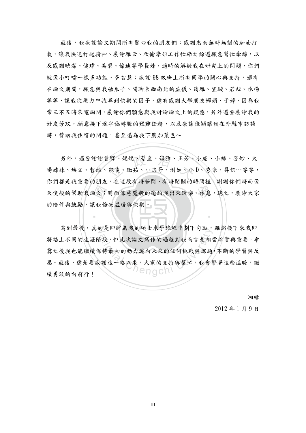最後,我感謝論文期間所有關心我的朋友們:感謝志南無時無刻的加油打 氣,讓我快速打起精神、感謝雅云、欣愉學姐工作忙碌之餘還願意幫忙牽線,以 及感謝映潔、健瑋、美聲、偉迪等學長姊,適時的解疑我在研究上的問題,你們 就像小叮噹一樣多功能、多智慧;感謝 98 級班上所有同學的關心與支持,還有 在論文期間,願意與我磕瓜子、閒聊東西南北的孟儀、筠雅、宜璇、若耘、承揚 等等,讓我從壓力中找尋到快樂的因子,還有感謝大學朋友嬋娟、于婷,因為我 常三不五時來電詢問,感謝你們願意與我討論論文上的疑惑,另外還要感謝我的 好友芳玟,願意接下逐字稿轉騰的艱難任務,以及感謝佳穎讓我在外縣市訪談 時, 贊助我住宿的問題, 甚至還為我下廚加菜色~

天使般的幫助我論文;時而像惡魔般的邀約我出來玩樂、休息,總之,感謝大家<br>的陪伴與鼓勵,讓我倍感溫暖與快樂。 另外,還要謝謝曾驛、妮妮、菱嵐、韻雅、正芳、小盧、小綠、姿妙、太<br>妹、煥文、哲維、宛陵、琡茹、小志哥、俐如、小D、秀咪、昇倍…等等 陽姊妹、煥文、哲維、宛陵、琡茹、小志哥、俐如、小 D、秀咪、昇倍…等等, 你們都是我重要的朋友,在這段有時苦悶、有時閉關的時間裡,謝謝你們時而像 的陪伴與鼓勵,讓我倍感溫暖與快樂。

寫到最後,真的是即將為我的碩士求學旅程中劃下句點,雖然接下來我即 的天叶村祠我的碩士不字派任下副下可為 將踏上不同的生涯階段,但此次論文寫作的過程對我而言是相當珍貴與重要,希 冀之後我也能繼續保持最初的動力迎向未來的任何挑戰與課題,不斷的學習與反 思。最後,還是要感謝這一路以來,大家的支持與幫忙,我會帶著這些溫暖,繼 續勇敢的向前行!

湘緣

2012 年 1 月 9 日

‧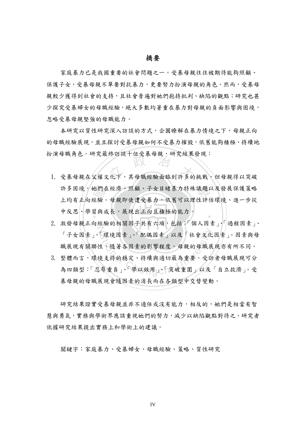#### 摘要

家庭暴力已是我國重要的社會問題之一。受暴母親往往被期待能夠照顧、 保護子女,受暴母親不單要對抗暴力,更要努力扮演母親的角色。然而,受暴母 親較少獲得到社會的支持,且社會普遍對她們抱持批判、缺陷的觀點;研究也甚 少探究受暴婦女的母職經驗,絕大多數均著重在暴力對母親的負面影響與困境, 忽略受暴母親堅強的母職能力。

本研究以質性研究深入訪談的方式,企圖瞭解在暴力情境之下,母親正向 的母職經驗展現,並且探討受暴母親如何不受暴力摧毀,依舊能夠積極、持續地 扮演母職角色。研究最終訪談十位受暴母親,研究結果發現:

- 地們在。<br>經驗<br>台經 · 波 4 概 月 巴 3 5 元取 彩 初 3 % | 但又 泰 4 版 , 5 1 九 15 木 歿 坑 ·<br>|<br>|. 受暴母親在父權文化下,其母職經驗面臨到許多的挑戰,但母親得以突破 許多困境,她們在經濟、照顧、子女目睹暴力特殊議題以及發展保護策略 ‧ 上均有正向經驗。母親即使遭受暴力,依舊可以理性評估環境、進一步從 中反思、學習與成長,展現出正向且積極的能力。
- 「子女因素」、「環境因素」、「配偶因素」以及「社會文化因素」。因素與母職展現有關聯性,隨著各因素的影響程度,母親的母職展現亦有所不同。<br>職展現有關聯性,隨著各因素的影響程度,母親的母職展現亦有所不同。<br>整體而言,環境支持的穩定、持續與適切最為重要。受訪者母職展現可分 2. 激發母親正向經驗的相關因子共有六項,包括:「個人因素」、「過程因素」、 職展現有關聯性,隨著各因素的影響程度,母親的母職展現亦有所不同。
- 3. 整體而言,環境支持的穩定、持續與適切最為重要。受訪者母職展現可分 為四類型:「忍辱重負」、「學以致用」、「突破重圍」以及「自立救濟」。受 暴母親的母職展現會隨因素的消長而在各類型中交替變動。

研究結果證實受暴母親並非不適任或沒有能力,相反的,她們是相當有智 慧與勇氣,實務與學術界應該重視她們的努力,減少以缺陷觀點對待之。研究者 依據研究結果提出實務上和學術上的建議。

關鍵字:家庭暴力、受暴婦女、母職經驗、策略、質性研究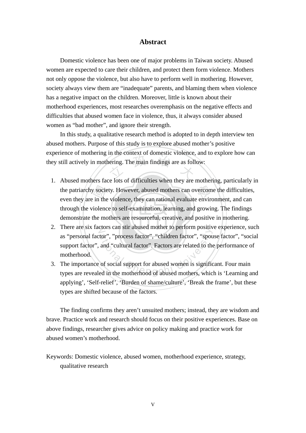#### **Abstract**

Domestic violence has been one of major problems in Taiwan society. Abused women are expected to care their children, and protect them form violence. Mothers not only oppose the violence, but also have to perform well in mothering. However, society always view them are "inadequate" parents, and blaming them when violence has a negative impact on the children. Moreover, little is known about their motherhood experiences, most researches overemphasis on the negative effects and difficulties that abused women face in violence, thus, it always consider abused women as "bad mother", and ignore their strength.

ering. The main findings are as foll In this study, a qualitative research method is adopted to in depth interview ten abused mothers. Purpose of this study is to explore abused mother's positive experience of mothering in the context of domestic violence, and to explore how can they still actively in mothering. The main findings are as follow:

- demonstrate the mothers are resourceful, creative, and positive in mothering. the patriarchy society. However, abused mothers can overcome the difficulties, even they are in the violence, they can rational evaluate environment, and can through the violence to self-examination, learning, and growing. 1. Abused mothers face lots of difficulties when they are mothering, particularly in even they are in the violence, they can rational evaluate environment, and can through the violence to self-examination, learning, and growing. The findings
- 2. There are six factors can stir abused mother to perform positive experience, such tor", "process factor", "children factor", "spou<br>and "cultural factor". Factors are related to the<br>of social support for abused women is significed in the motherhood of abused mothers, which as "personal factor", "process factor", "children factor", "spouse factor", "social support factor", and "cultural factor". Factors are related to the performance of motherhood.
- 3. The importance of social support for abused women is significant. Four main types are revealed in the motherhood of abused mothers, which is 'Learning and applying', 'Self-relief', 'Burden of shame/culture', 'Break the frame', but these types are shifted because of the factors.

The finding confirms they aren't unsuited mothers; instead, they are wisdom and brave. Practice work and research should focus on their positive experiences. Base on above findings, researcher gives advice on policy making and practice work for abused women's motherhood.

Keywords: Domestic violence, abused women, motherhood experience, strategy, qualitative research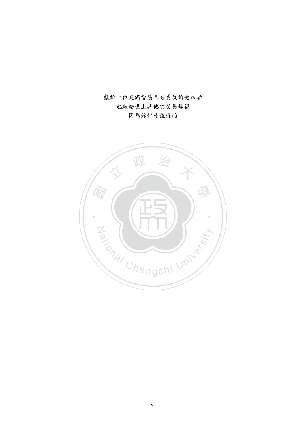獻給十位充滿智慧且有勇氣的受訪者 也獻給世上其他的受暴母親 因為妳們是值得的

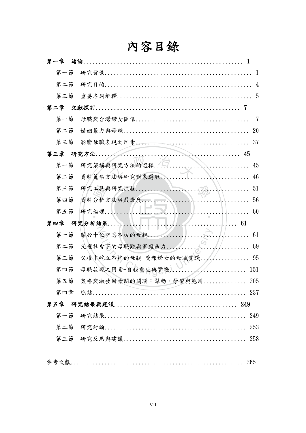| 内容目錄 |                              |                      |  |  |  |
|------|------------------------------|----------------------|--|--|--|
| 第一章  |                              |                      |  |  |  |
| 第一節  |                              |                      |  |  |  |
| 第二節  |                              | 4                    |  |  |  |
| 第三節  |                              | 5                    |  |  |  |
| 第二章  |                              | -7                   |  |  |  |
| 第一節  |                              | 7                    |  |  |  |
| 第二節  |                              | 20                   |  |  |  |
| 第三節  |                              | 37                   |  |  |  |
| 第三章  |                              |                      |  |  |  |
| 第一節  | 研究架構與研究方法的選擇                 | 45                   |  |  |  |
| 第二節  | 資料蒐集方法與研究對象選取                | <i>XX</i><br>46      |  |  |  |
| 第三節  |                              | 51                   |  |  |  |
| 第四節  | 資料分析方法與嚴謹度                   | 56                   |  |  |  |
| 第五節  |                              | 60                   |  |  |  |
| 第四章  |                              | 61                   |  |  |  |
| 第一節  | 關於十位堅忍不拔的母親                  | 61                   |  |  |  |
| 第二節  | 父權社會下的母職觀與家庭暴力               | 69<br>$\overline{a}$ |  |  |  |
| 第三節  | 父權中屹立不搖的母親-受報婦女的母職實踐         | 95                   |  |  |  |
|      | 第四節 母職展現之因素-自我重生與實踐 151      |                      |  |  |  |
|      | 第五節 策略與激發因素間的關聯:鬆動、學習與應用 205 |                      |  |  |  |
|      |                              |                      |  |  |  |
|      |                              |                      |  |  |  |
|      |                              |                      |  |  |  |
| 第二節  |                              |                      |  |  |  |
|      |                              |                      |  |  |  |
|      |                              |                      |  |  |  |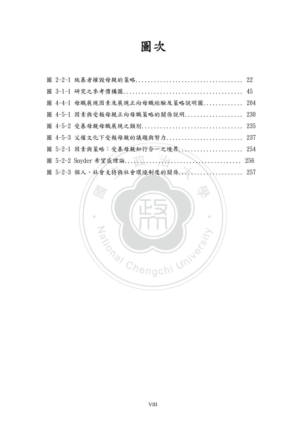# 圖次

|  | 圖 4-4-1 母職展現因素及展現正向母職經驗及策略說明圖 204 |     |
|--|-----------------------------------|-----|
|  | 圖 4-5-1 因素與受報母親正向母職策略的關係說明 230    |     |
|  |                                   |     |
|  | 圖 4-5-3 父權文化下受報母親的議題與努力 237       |     |
|  | 圖 5-2-1 因素與策略:受暴母親知行合一之境界 254     |     |
|  |                                   | 256 |
|  | 圖 5-2-3 個人、社會支持與社會環境制度的關係 257     |     |
|  |                                   |     |

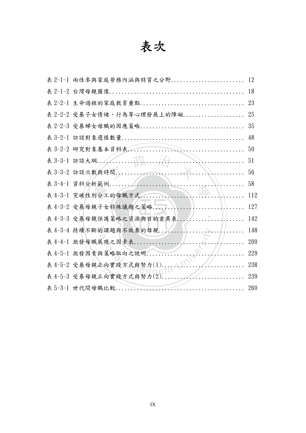## 表次

|  | 表 2-1-1 兩性參與家庭勞務內涵與特質之分野   | 12  |
|--|----------------------------|-----|
|  |                            | 18  |
|  | 表 2-2-1 生命過程的家庭教育重點        | 23  |
|  | 表 2-2-2 受暴子女情緒、行為等心理發展上的障礙 | 25  |
|  | 表 2-2-3 受暴婦女母職的因應策略        | 35  |
|  |                            | 48  |
|  |                            | 50  |
|  |                            | 51  |
|  | 表 3-3-2 訪談次數與時間            | 56  |
|  |                            | 58  |
|  | 表 4-3-1 突破性别分工的母職方式        | 112 |
|  | 表 4-3-2 受暴母親子女特殊議題之策略      | 127 |
|  | 表 4-3-3 受暴母親保護策略之資源與目的差異表  | 142 |
|  | 表 4-3-4 持續不斷的課題與不放棄的母親     | 148 |
|  | 表 4-4-1 激發母職展現之因素表         | 200 |
|  |                            | 229 |
|  | 表 4-5-2 受暴母親正向實踐方式與努力(1)   | 238 |
|  | 表 4-5-3 受暴母親正向實踐方式與努力(2)   | 239 |
|  |                            | 260 |